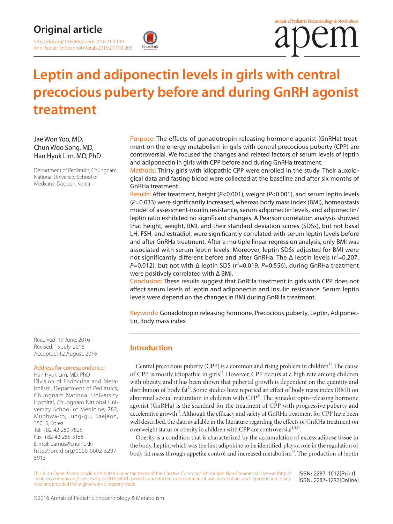# **Original article**

http://doi.org/10.6065/apem.2016.21.4.199 Ann Pediatr Endocrinol Metab 2016;21:199-205



# **Leptin and adiponectin levels in girls with central precocious puberty before and during GnRH agonist treatment**

Jae Won Yoo, MD, Chun Woo Song, MD, Han Hyuk Lim, MD, PhD

Department of Pediatrics, Chungnam National University School of Medicine, Daejeon, Korea

Purpose: The effects of gonadotropin-releasing hormone agonist (GnRHa) treatment on the energy metabolism in girls with central precocious puberty (CPP) are controversial. We focused the changes and related factors of serum levels of leptin and adiponectin in girls with CPP before and during GnRHa treatment.

Methods: Thirty girls with idiopathic CPP were enrolled in the study. Their auxological data and fasting blood were collected at the baseline and after six months of GnRHa treatment.

Results: After treatment, height (*P*<0.001), weight (*P*<0.001), and serum leptin levels (*P*=0.033) were significantly increased, whereas body mass index (BMI), homeostasis model of assessment-insulin resistance, serum adiponectin levels, and adiponectin/ leptin ratio exhibited no significant changes. A Pearson correlation analysis showed that height, weight, BMI, and their standard deviation scores (SDSs), but not basal LH, FSH, and estradiol, were significantly correlated with serum leptin levels before and after GnRHa treatment. After a multiple linear regression analysis, only BMI was associated with serum leptin levels. Moreover, leptin SDSs adjusted for BMI were not significantly different before and after GnRHa. The  $\Delta$  leptin levels ( $r^2$ =0.207, *P*=0.012), but not with Δ leptin SDS (*r* 2 =0.019, *P*=0.556), during GnRHa treatment were positively correlated with Δ BMI.

Conclusion: These results suggest that GnRHa treatment in girls with CPP does not affect serum levels of leptin and adiponectin and insulin resistance. Serum leptin levels were depend on the changes in BMI during GnRHa treatment.

Keywords: Gonadotropin releasing hormone, Precocious puberty, Leptin, Adiponectin, Body mass index

Received: 19 June, 2016 Revised: 15 July, 2016 Accepted: 12 August, 2016

# Address for correspondence:

Han Hyuk Lim, MD, PhD Division of Endocrine and Metabolism, Department of Pediatrics, Chungnam National University Hospital, Chungnam National University School of Medicine, 282, Munhwa-ro, Jung-gu, Daejeon, 35015, Korea Tel: +82-42-280-7825 Fax: +82-42-255-3158 E-mail: damus@cnuh.or.kr [http://orcid.org/0000-0002-5297-](http://orcid.org/0000-0002-5297-5913)[5913](http://orcid.org/0000-0002-5297-5913)

**Introduction**

Central precocious puberty (CPP) is a common and rising problem in children<sup>1)</sup>. The cause of CPP is mostly idiopathic in girls<sup>1)</sup>. However, CPP occurs at a high rate among children with obesity, and it has been shown that pubertal growth is dependent on the quantity and distribution of body fat<sup>2)</sup>. Some studies have reported an effect of body mass index (BMI) on abnormal sexual maturation in children with CPP<sup>3)</sup>. The gonadotropin-releasing hormone agonist (GnRHa) is the standard for the treatment of CPP with progressive puberty and accelerative growth<sup>1)</sup>. Although the efficacy and safety of GnRHa treatment for CPP have been well described, the data available in the literature regarding the effects of GnRHa treatment on overweight status or obesity in children with CPP are controversial<sup>1,4,5)</sup>.

Obesity is a condition that is characterized by the accumulation of excess adipose tissue in the body. Leptin, which was the first adipokine to be identified, plays a role in the regulation of body fat mass through appetite control and increased metabolism<sup>6</sup>. The production of leptin

This is an Open Access article distributed under the terms of the Creative Commons Attribution Non-Commercial License (http:// creativecommons.org/licenses/by-nc/4.0) which permits unrestricted non-commercial use, distribution, and reproduction in any medium, provided the original work is properly cited. ISSN: 2287-1012(Print) ISSN: 2287-1292(Online)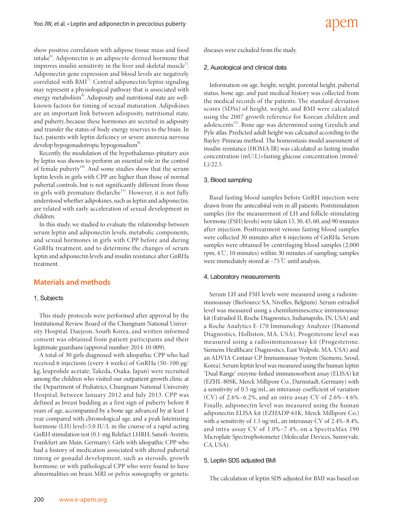show positive correlation with adipose tissue mass and food intake<sup>6)</sup>. Adiponectin is an adipocyte-derived hormone that improves insulin sensitivity in the liver and skeletal muscle<sup>7)</sup>. Adiponectin gene expression and blood levels are negatively correlated with BMI7). Central adiponectin/leptin signaling may represent a physiological pathway that is associated with energy metabolism<sup>8</sup>. Adioposity and nutritional state are wellknown factors for timing of sexual maturation. Adipokines are an important link between adioposity, nutritional state, and puberty, because these hormones are secreted in adiposity and transfer the status of body energy reserves to the brain. In fact, patients with leptin deficincy or severe anorexia nervosa develop hypogonadotropic hypogonadism<sup>9)</sup>.

Recently, the modulation of the hypothalamus-pituitary axis by leptin was shown to perform an essential role in the control of female puberty<sup>10)</sup>. And some studies show that the serum leptin levels in girls with CPP are higher than those of normal pubertal controls, but is not significantly different from those in girls with premature thelarche $11$ <sup>11</sup>. However, it is not fully understood whether adipokines, such as leptin and adiponectin, are related with early acceleration of sexual development in children.

In this study, we studied to evaluate the relationship between serum leptin and adiponectin levels, metabolic components, and sexual hormones in girls with CPP before and during GnRHa treatment, and to determine the changes of serum leptin and adiponectin levels and insulin resistance after GnRHa treatment.

# **Materials and methods**

### 1. Subjects

This study protocols were performed after approval by the Institutional Review Board of the Chungnam National University Hospital, Daejeon, South Korea, and written informed consent was obtained from patient participants and their legitimate guardians (approval number: 2014-10-009).

A total of 30 girls diagnosed with idiopathic CPP who had received 6 injections (every 4 weeks) of GnRHa (50–100 µg/ kg, leuprolide acetate; Takeda, Osaka, Japan) were recruited among the children who visited our outpatient growth clinic at the Department of Pediatrics, Chungnam National University Hospital, between January 2012 and July 2013. CPP was defined as breast budding as a first sign of puberty before 8 years of age, accompanied by a bone age advanced by at least 1 year compared with chronological age, and a peak luteinizing hormone (LH) level>5.0 IU/L in the course of a rapid-acting GnRH stimulation test (0.1-mg Relefact LHRH; Sanofi-Aventis, Frankfurt am Main, Germany). Girls with idiopathic CPP who had a history of medication associated with altered pubertal timing or gonadal development, such as steroids, growth hormone, or with pathological CPP who were found to have abnormalities on brain MRI or pelvis sonography or genetic diseases were excluded from the study.

#### 2. Auxological and clinical data

Information on age, height, weight, parental height, pubertal status, bone age, and past medical history was collected from the medical records of the patients. The standard deviation scores (SDSs) of height, weight, and BMI were calculated using the 2007 growth reference for Korean children and adolescents<sup>12)</sup>. Bone age was determined using Greulich and Pyle atlas. Predicted adult height was calcuated according to the Bayley-Pinneau method. The homeostasis model assessment of insulin resistance (HOMA-IR) was calculated as fasting insulin concentration (mU/L)×fasting glucose concentration (mmol/ L)/22.5.

adem

#### 3. Blood sampling

Basal fasting blood samples before GnRH injection were drawn from the antecubital vein in all patients. Poststimulation samples (for the measurement of LH and follicle-stimulating hormone (FSH) levels) were taken 15, 30, 45, 60, and 90 minutes after injection. Posttreatment venous fasting blood samples were collected 30 minutes after 6 injections of GnRHa. Serum samples were obtained by centrifuging blood samples (2,000 rpm, 4℃, 10 minutes) within 30 minutes of sampling; samples were immediately stored at –75℃ until analysis.

#### 4. Laboratory measurements

Serum LH and FSH levels were measured using a radioim munoassay (BioSource SA, Nivelles, Belgium). Serum estradiol level was measured using a chemiluminescence immunoassay kit (Estradiol II, Roche Diagnostics, Indianapolis, IN, USA) and a Roche Analytics E-170 Immunology Analyzer (Diamond Diagnostics, Holliston, MA, USA). Progesterone level was measured using a radioimmunoassay kit (Progesterone, Siemens Healthcare Diagnostics, East Walpole, MA, USA) and an ADVIA Centaur CP Immunoassay System (Siemens, Seoul, Korea). Serum leptin level was measured using the human leptin "Dual Range" enzyme-linked immunosorbent assay (ELISA) kit (EZHL-80SK, Merck Millipore Co., Darmstadt, Germany) with a sensitivity of 0.5 ng/mL, an interassay coefficient of variation (CV) of 2.6%–6.2%, and an intra-assay CV of 2.6%–4.6%. Finally, adiponectin level was measured using the human adiponectin ELISA kit (EZHADP-61K, Merck Millipore Co.) with a sensitivity of 1.5 ng/mL, an interassay CV of 2.4%–8.4%, and intra-assay CV of 1.0%–7.4%, on a SpectraMax 190 Microplate Spectrophotometer (Molecular Devices, Sunnyvale, CA, USA).

#### 5. Leptin SDS adjusted BMI

The calculation of leptin SDS adjusted for BMI was based on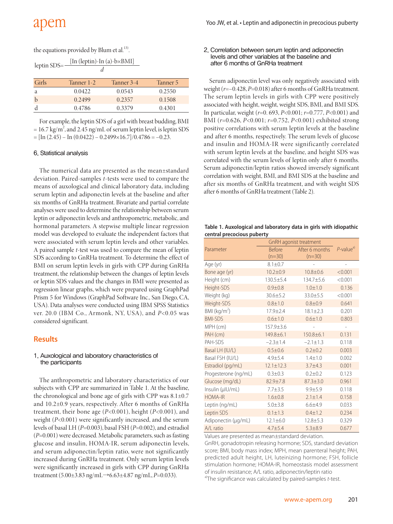|  |  | the equations provided by Blum et al. <sup>13)</sup> . |  |
|--|--|--------------------------------------------------------|--|
|--|--|--------------------------------------------------------|--|

| leptin SDS= |            | $[In (leptin)-In (a)-b \times BMI]$ |
|-------------|------------|-------------------------------------|
|             |            |                                     |
| Girls       | Tanner 1-2 | Tanner 3-4                          |

| Girls       | Tanner 1-2 | Tanner 3-4 | Tanner 5 |
|-------------|------------|------------|----------|
| a           | 0.0422     | 0.0543     | 0.2550   |
| $\mathbf b$ | 0.2499     | 0.2357     | 0.1508   |
|             | 0.4786     | 0.3379     | 0.4301   |

For example, the leptin SDS of a girl with breast budding, BMI  $= 16.7 \text{ kg/m}^2$ , and 2.45 ng/mL of serum leptin level, is leptin SDS  $=[\text{In} (2.45) - \text{In} (0.0422) - 0.2499 \times 16.7]/0.4786 = -0.23.$ 

#### 6. Statistical analysis

The numerical data are presented as the mean±standard deviation. Paired-samples *t*-tests were used to compare the means of auxological and clinical laboratory data, including serum leptin and adiponectin levels at the baseline and after six months of GnRHa treatment. Bivariate and partial correlate analyses were used to determine the relationship between serum leptin or adiponectin levels and anthropometric, metabolic, and hormonal parameters. A stepwise multiple linear regression model was developed to evaluate the independent factors that were associated with serum leptin levels and other variables. A paired sample *t*-test was used to compare the mean of leptin SDS according to GnRHa treatment. To determine the effect of BMI on serum leptin levels in girls with CPP during GnRHa treatment, the relationship between the changes of leptin levels or leptin SDS values and the changes in BMI were presented as regression linear graphs, which were prepared using GraphPad Prism 5 for Windows (GraphPad Software Inc., San Diego, CA, USA). Data analyses were conducted using IBM SPSS Statistics ver. 20.0 (IBM Co., Armonk, NY, USA), and *P*<0.05 was considered significant.

## **Results**

#### 1. Auxological and laboratory characteristics of the participants

The anthropometric and laboratory characteristics of our subjects with CPP are summarized in Table 1. At the baseline, the chronological and bone age of girls with CPP was  $8.1 \pm 0.7$ and 10.2±0.9 years, respectively. After 6 months of GnRHa treatment, their bone age (*P*<0.001), height (*P*<0.001), and weight (*P*<0.001) were significantly increased, and the serum levels of basal LH (*P*=0.003), basal FSH (*P*=0.002), and estradiol (*P*=0.001) were decreased. Metabolic parameters, such as fasting glucose and insulin, HOMA-IR, serum adiponectin levels, and serum adiponectin/leptin ratio, were not significantly increased during GnRHa treatment. Only serum leptin levels were significantly increased in girls with CPP during GnRHa treatment (5.00±3.83 ng/mL→6.63±4.87 ng/mL, *P*=0.033).

#### 2. Correlation between serum leptin and adiponectin levels and other variables at the baseline and after 6 months of GnRHa treatment

Serum adiponectin level was only negatively associated with weight (*r*=–0.428, *P*=0.018) after 6 months of GnRHa treatment. The serum leptin levels in girls with CPP were positively associated with height, weight, weight SDS, BMI, and BMI SDS. In particular, weight (*r*=0. 693, *P*<0.001; *r*=0.777, *P*<0.001) and BMI (*r*=0.626, *P*<0.001; *r*=0.752, *P*<0.001) exhibited strong positive correlations with serum leptin levels at the baseline and after 6 months, respectively. The serum levels of glucose and insulin and HOMA-IR were significantly correlated with serum leptin levels at the baseline, and height SDS was correlated with the serum levels of leptin only after 6 months. Serum adiponectin/leptin ratios showed inversely significant correlation with weight, BMI, and BMI SDS at the baseline and after six months of GnRHa treatment, and with weight SDS after 6 months of GnRHa treatment (Table 2).

**Table 1. Auxological and laboratory data in girls with idiopathic central precocious puberty**

|                      | GnRH agonist treatment |                |                          |
|----------------------|------------------------|----------------|--------------------------|
| Parameter            | <b>Before</b>          | After 6 months | $P$ -value <sup>a)</sup> |
|                      | $(n=30)$               | $(n=30)$       |                          |
| Age (yr)             | $8.1 + 0.7$            |                |                          |
| Bone age (yr)        | $10.2 \pm 0.9$         | $10.8 + 0.6$   | < 0.001                  |
| Height (cm)          | 130.5±5.4              | 134.7±5.6      | < 0.001                  |
| Height-SDS           | $0.9 + 0.8$            | $1.0 + 1.0$    | 0.136                    |
| Weight (kg)          | $30.6 \pm 5.2$         | $33.0 + 5.5$   | < 0.001                  |
| Weight-SDS           | $0.8 + 1.0$            | $0.8 + 0.9$    | 0.641                    |
| BMI ( $kg/m2$ )      | $17.9 + 2.4$           | $18.1 + 2.3$   | 0.201                    |
| <b>BMI-SDS</b>       | $0.6 + 1.0$            | $0.6 \pm 1.0$  | 0.803                    |
| MPH (cm)             | 157.9±3.6              |                |                          |
| PAH (cm)             | 149.8±6.1              | $150.8 + 6.1$  | 0.131                    |
| PAH-SDS              | $-2.3 \pm 1.4$         | $-2.1 \pm 1.3$ | 0.118                    |
| Basal LH (IU/L)      | $0.5 + 0.6$            | $0.2 + 0.2$    | 0.003                    |
| Basal FSH (IU/L)     | $4.9 + 5.4$            | $1.4 + 1.0$    | 0.002                    |
| Estradiol (pg/mL)    | $12.1 \pm 12.3$        | $3.7 + 4.3$    | 0.001                    |
| Progesterone (ng/mL) | $0.3 + 0.3$            | $0.2 + 0.2$    | 0.123                    |
| Glucose (mg/dL)      | $82.9 \pm 7.8$         | $87.3 \pm 3.0$ | 0.961                    |
| Insulin (µIU/mL)     | $7.7 + 3.5$            | $9.9 + 5.9$    | 0.118                    |
| <b>HOMA-IR</b>       | $1.6 + 0.8$            | $2.1 \pm 1.4$  | 0.158                    |
| Leptin (ng/mL)       | $5.0 + 3.8$            | $6.6 + 4.9$    | 0.033                    |
| Leptin SDS           | $0.1 \pm 1.3$          | $0.4 \pm 1.2$  | 0.234                    |
| Adiponectin (µg/mL)  | $12.1 \pm 6.0$         | $12.8 \pm 5.3$ | 0.329                    |
| A/L ratio            | $4.7 + 5.4$            | $5.3 + 8.9$    | 0.677                    |

Values are presented as mean±standard deviation.

GnRH, gonadotropin releasing hormone; SDS, standard deviation score; BMI, body mass index; MPH, mean parenteral height; PAH, predicted adult height, LH, luteinizing hormone; FSH, follicle stimulation hormone; HOMA-IR, homeostasis model assessment of insulin resistance; A/L ratio, adiponectin/leptin ratio a)The significance was calculated by paired-samples *t*-test.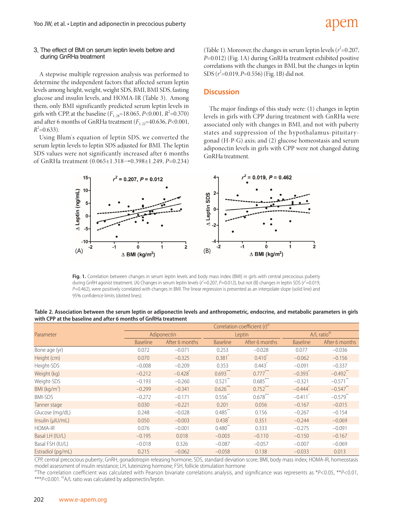### 3. The effect of BMI on serum leptin levels before and during GnRHa treatment

A stepwise multiple regression analysis was performed to determine the independent factors that affected serum leptin levels among height, weight, weight SDS, BMI, BMI SDS, fasting glucose and insulin levels, and HOMA-IR (Table 3). Among them, only BMI significantly predicted serum leptin levels in girls with CPP, at the baseline  $(F_{1, 28} = 18.065, P < 0.001, R^2 = 0.370)$ and after 6 months of GnRHa treatment  $(F_{1, 22}=40.636, P<0.001,$  $R^2$ =0.633).

Using Blum's equation of leptin SDS, we converted the serum leptin levels to leptin SDS adjusted for BMI. The leptin SDS values were not significantly increased after 6 months of GnRHa treatment (0.065±1.318→0.398±1.249, *P*=0.234)

(Table 1). Moreover, the changes in serum leptin levels ( $r^2$ =0.207, *P*=0.012) (Fig. 1A) during GnRHa treatment exhibited positive correlations with the changes in BMI, but the changes in leptin SDS ( $r^2$ =0.019, *P*=0.556) (Fig. 1B) did not.

## **Discussion**

The major findings of this study were: (1) changes in leptin levels in girls with CPP during treatment with GnRHa were associated only with changes in BMI, and not with puberty states and suppression of the hypothalamus-pituitarygonad (H-P-G) axis; and (2) glucose homeostasis and serum adiponectin levels in girls with CPP were not changed duting GnRHa treatment.



**Fig. 1.** Correlation between changes in serum leptin levels and body mass index (BMI) in girls with central precocious puberty during GnRH agonist treatment. (A) Changes in serum leptin levels ( $r^2$  =0.207, P=0.012), but not (B) changes in leptin SDS ( $r^2$  =0.019, *P*=0.462), were positively correlated with changes in BMI. The linear regression is presented as an interpolate slope (solid line) and 95% confidence limits (dotted lines).

| Table 2. Association between the serum leptin or adiponectin levels and anthropometric, endocrine, and metabolic parameters in girls |  |
|--------------------------------------------------------------------------------------------------------------------------------------|--|
| with CPP at the baseline and after 6 months of GnRHa treatment                                                                       |  |

|                   | Correlation coefficient $(r)$ <sup>a)</sup> |                       |                 |                        |                         |                        |
|-------------------|---------------------------------------------|-----------------------|-----------------|------------------------|-------------------------|------------------------|
| Parameter         | Adiponectin                                 |                       | Leptin          |                        | A/L ratio <sup>b)</sup> |                        |
|                   | <b>Baseline</b>                             | After 6 months        | <b>Baseline</b> | After 6 months         | <b>Baseline</b>         | After 6 months         |
| Bone age (yr)     | 0.072                                       | $-0.071$              | 0.253           | $-0.028$               | 0.077                   | $-0.036$               |
| Height (cm)       | 0.070                                       | $-0.325$              | 0.381           | $0.410^{*}$            | $-0.062$                | $-0.156$               |
| Height-SDS        | $-0.008$                                    | $-0.209$              | 0.353           | $0.443$ <sup>*</sup>   | $-0.091$                | $-0.337$               |
| Weight (kg)       | $-0.212$                                    | $-0.428$ <sup>*</sup> | $0.693**$       | $0.777***$             | $-0.393$                | $-0.492$ <sup>**</sup> |
| Weight-SDS        | $-0.193$                                    | $-0.260$              | $0.521$ **      | $0.685$ <sup>***</sup> | $-0.321$                | $-0.571$ **            |
| BMI ( $kg/m2$ )   | $-0.299$                                    | $-0.341$              | $0.626***$      | $0.752***$             | $-0.444$                | $-0.547$ **            |
| <b>BMI-SDS</b>    | $-0.272$                                    | $-0.171$              | $0.556$ **      | $0.678***$             | $-0.411$ <sup>*</sup>   | $-0.579$ **            |
| Tanner stage      | 0.030                                       | $-0.221$              | 0.201           | 0.056                  | $-0.167$                | $-0.015$               |
| Glucose (mg/dL)   | 0.248                                       | $-0.028$              | $0.485$ **      | 0.156                  | $-0.267$                | $-0.154$               |
| Insulin (µIU/mL)  | 0.050                                       | $-0.003$              | 0.438           | 0.351                  | $-0.244$                | $-0.069$               |
| <b>HOMA-IR</b>    | 0.076                                       | $-0.001$              | 0.480           | 0.333                  | $-0.275$                | $-0.091$               |
| Basal LH (IU/L)   | $-0.195$                                    | 0.018                 | $-0.003$        | $-0.110$               | $-0.150$                | $-0.167$               |
| Basal FSH (IU/L)  | $-0.018$                                    | 0.326                 | $-0.087$        | $-0.057$               | $-0.007$                | $-0.069$               |
| Estradiol (pg/mL) | 0.215                                       | $-0.062$              | $-0.058$        | 0.138                  | $-0.033$                | 0.013                  |

CPP, central precocious puberty; GnRH, gonadotropin releasing hormone; SDS, standard deviation score; BMI, body mass index; HOMA-IR, homeostasis model assessment of insulin resistance; LH, luteinizing hormone; FSH, follicle stimulation hormone

a)The correlation coefficient was calculated with Pearson bivariate correlations analysis, and significance was represents as \**P*<0.05, \*\**P*<0.01, \*\*\**P*<0.001. <sup>b)</sup>A/L ratio was calculated by adiponectin/leptin.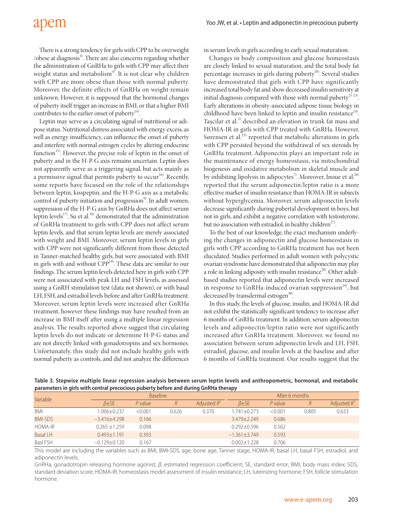There is a strong tendency for girls with CPP to be overweight  $\theta$  /obese at diagnosis<sup>4)</sup>. There are also concerns regarding whether the administration of GnRHa to girls with CPP may affect their weight status and metabolism<sup>4)</sup>. It is not clear why children with CPP are more obese than those with normal puberty. Moreover, the definite effects of GnRHa on weight remain unknown. However, it is supposed that the hormonal changes of puberty itself trigger an increase in BMI, or that a higher BMI contributes to the earlier onset of puberty $14$ <sup>14)</sup>.

Leptin may serve as a circulating signal of nutritional or adipose status. Nutritional distress associated with energy excess, as well as energy insufficiency, can influence the onset of puberty and interfere with normal estrogen cycles by altering endocrine function<sup>15)</sup>. However, the precise role of leptin in the onset of puberty and in the H-P-G axis remains uncertain. Leptin does not apparently serve as a triggering signal, but acts mainly as a permissive signal that permits puberty to occur<sup>16)</sup>. Recently, some reports have focused on the role of the relationships between leptin, kisspeptin, and the H-P-G axis as a metabolic control of puberty initiation and progression<sup>9)</sup>. In adult women, suppression of the H-P-G axis by GnRHa does not affect serum leptin levels<sup>17)</sup>. Su et al.<sup>18)</sup> demonstrated that the administration of GnRHa treatment to girls with CPP does not affect serum leptin levels, and that serum leptin levels are merely associated with weight and BMI. Moreover, serum leptin levels in girls with CPP were not significantly different from those detected in Tanner-matched healthy girls, but were associated with BMI in girls with and without CPP<sup>19)</sup>. These data are similar to our findings. The serum leptin levels detected here in girls with CPP were not associated with peak LH and FSH levels, as assessed using a GnRH stimulation test (data not shown), or with basal LH, FSH, and estradiol levels before and after GnRHa treatment. Moreover, serum leptin levels were increased after GnRHa treatment, however these findings may have resulted from an increase in BMI itself after using a multiple linear regression analysis. The results reported above suggest that circulating leptin levels do not indicate or determine H-P-G status and are not directly linked with gonadotropins and sex hormones. Unfortunately, this study did not include healthy girls with normal puberty as controls, and did not analyze the differences

in serum levels in girls according to early sexual maturation.

Changes in body composition and glucose homeostasis are closely linked to sexual maturation, and the total body fat percentage increases in girls during puberty<sup>20)</sup>. Several studies have demonstrated that girls with CPP have significantly increased total body fat and show decreased insulin sensitivity at initial diagnosis compared with those with normal puberty<sup>21-23)</sup>. Early alterations in obesity-associated adipose tissue biology in childhood have been linked to leptin and insulin resistance<sup>24)</sup>. Taşcilar et al.<sup>5)</sup> described an elevation in trunk fat mass and HOMA-IR in girls with CPP treated with GnRHa. However, Sørensen et al.<sup>25)</sup> reported that metabolic alterations in girls with CPP persisted beyond the withdrawal of sex steroids by GnRHa treatment. Adiponectin plays an important role in the maintenance of energy homeostasis, via mitochondrial biogenesis and oxidative metabolism in skeletal muscle and by inhibiting lipolysis in adipocytes<sup>7)</sup>. Moreover, Inoue et al.<sup>26)</sup> reported that the serum adiponectin/leptin ratio is a more effective marker of insulin resistance than HOMA-IR in subjects without hyperglycemia. Moreover, serum adiponectin levels decrease significantly during pubertal development in boys, but not in girls, and exhibit a negative correlation with testosterone, but no association with estradiol, in healthy children<sup>27</sup>.

To the best of our knowledge, the exact mechanism underlying the changes in adiponectin and glucose homeostasis in girls with CPP according to GnRHa treatment has not been elucidated. Studies performed in adult women with polycystic ovarian syndrome have demonstrated that adiponectin may play a role in linking adiposity with insulin resistance<sup>28)</sup>. Other adultbased studies reported that adiponectin levels were increased in response to GnRHa-induced ovarian suppression<sup>29</sup>, but decreased by transdermal estrogen<sup>30)</sup>.

In this study, the levels of glucose, insulin, and HOMA-IR did not exhibit the statistically significant tendency to increase after 6 months of GnRHa treatment. In addition, serum adiponectin levels and adiponectin/leptin ratio were not significantly increased after GnRHa treatment. Moreover, we found no association between serum adiponectin levels and LH, FSH, estradiol, glucose, and insulin levels at the baseline and after 6 months of GnRHa treatment. Our results suggest that the

| be account to the commutation of the second and below and have a commutation of an indicate the second has been |                    |                 |       |                |                  |           |       |                |
|-----------------------------------------------------------------------------------------------------------------|--------------------|-----------------|-------|----------------|------------------|-----------|-------|----------------|
| Variable                                                                                                        |                    | <b>Baseline</b> |       |                | After 6 months   |           |       |                |
|                                                                                                                 | $\beta \pm 5E$     | P value         | R     | Adjusted $R^2$ | $\beta \pm 5E$   | $P$ value |       | Adjusted $R^2$ |
| BMI                                                                                                             | 1.006+0.237        | < 0.001         | 0.626 | 0.370          | $1.741 + 0.273$  | < 0.001   | 0.805 | 0.633          |
| <b>BMI-SDS</b>                                                                                                  | $-3.416 \pm 4.298$ | 0.166           |       |                | $3.479 + 2.249$  | 0.686     |       |                |
| <b>HOMA-IR</b>                                                                                                  | $0.265 + 1.259$    | 0.098           |       |                | $0.292 + 0.596$  | 0.562     |       |                |
| <b>Basal LH</b>                                                                                                 | $0.493 \pm 1.191$  | 0.393           |       |                | $-1.361 + 3.749$ | 0.593     |       |                |
| <b>Basl FSH</b>                                                                                                 | $-0.129 \pm 0.120$ | 0.167           |       |                | $0.002 + 1.228$  | 0.706     |       |                |

**Table 3. Stepwise multiple linear regression analysis between serum leptin levels and anthropometric, hormonal, and metabolic parameters in girls with central precocious puberty before and during GnRHa therapy**

This model are including the variables such as BMI, BMI-SDS, age, bone age, Tanner stage, HOMA-IR, basal LH, basal FSH, estradiol, and adiponectin levels.

GnRHa, gonadotropin releasing hormone agonist; *β*, estimated regression coefficient; SE, standard error; BMI, body mass index; SDS, standard deviation score; HOMA-IR, homeostasis model assessment of insulin resistance; LH, luteinizing hormone; FSH, follicle stimulation hormone.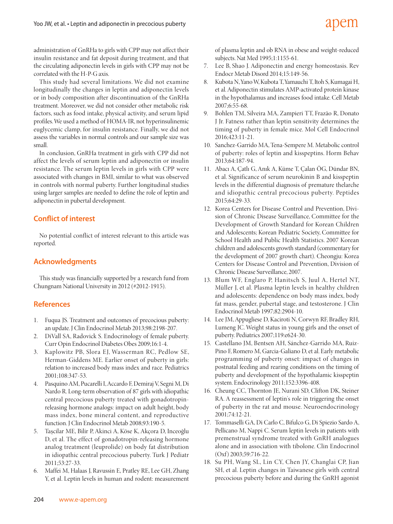administration of GnRHa to girls with CPP may not affect their insulin resistance and fat deposit during treatment, and that the circulating adiponectin levels in girls with CPP may not be correlated with the H-P-G axis.

This study had several limitations. We did not examine longitudinally the changes in leptin and adiponectin levels or in body composition after discontinuation of the GnRHa treatment. Moreover, we did not consider other metabolic risk factors, such as food intake, physical activity, and serum lipid profiles. We used a method of HOMA-IR, not hyperinsulinemic euglycemic clamp, for insulin resistance. Finally, we did not assess the variables in normal controls and our sample size was small.

In conclusion, GnRHa treatment in girls with CPP did not affect the levels of serum leptin and adiponectin or insulin resistance. The serum leptin levels in girls with CPP were associated with changes in BMI, similar to what was observed in controls with normal puberty. Further longitudinal studies using larger samples are needed to define the role of leptin and adiponectin in pubertal development.

# **Conflict of interest**

No potential conflict of interest relevant to this article was reported.

# **Acknowledgments**

This study was financially supported by a research fund from Chungnam National University in 2012 (#2012-1915).

# **References**

- 1. Fuqua JS. Treatment and outcomes of precocious puberty: an update. J Clin Endocrinol Metab 2013;98:2198-207.
- 2. DiVall SA, Radovick S. Endocrinology of female puberty. Curr Opin Endocrinol Diabetes Obes 2009;16:1-4.
- 3. Kaplowitz PB, Slora EJ, Wasserman RC, Pedlow SE, Herman-Giddens ME. Earlier onset of puberty in girls: relation to increased body mass index and race. Pediatrics 2001;108:347-53.
- 4. Pasquino AM, Pucarelli I, Accardo F, Demiraj V, Segni M, Di Nardo R. Long-term observation of 87 girls with idiopathic central precocious puberty treated with gonadotropinreleasing hormone analogs: impact on adult height, body mass index, bone mineral content, and reproductive function. J Clin Endocrinol Metab 2008;93:190-5.
- 5. Taşcilar ME, Bilir P, Akinci A, Köse K, Akçora D, Inceoğlu D, et al. The effect of gonadotropin-releasing hormone analog treatment (leuprolide) on body fat distribution in idiopathic central precocious puberty. Turk J Pediatr 2011;53:27-33.
- 6. Maffei M, Halaas J, Ravussin E, Pratley RE, Lee GH, Zhang Y, et al. Leptin levels in human and rodent: measurement

of plasma leptin and ob RNA in obese and weight-reduced subjects. Nat Med 1995;1:1155-61.

- 7. Lee B, Shao J. Adiponectin and energy homeostasis. Rev Endocr Metab Disord 2014;15:149-56.
- 8. Kubota N, Yano W, Kubota T, Yamauchi T, Itoh S, Kumagai H, et al. Adiponectin stimulates AMP-activated protein kinase in the hypothalamus and increases food intake. Cell Metab 2007;6:55-68.
- 9. Bohlen TM, Silveira MA, Zampieri TT, Frazão R, Donato J Jr. Fatness rather than leptin sensitivity determines the timing of puberty in female mice. Mol Cell Endocrinol 2016;423:11-21.
- 10. Sanchez-Garrido MA, Tena-Sempere M. Metabolic control of puberty: roles of leptin and kisspeptins. Horm Behav 2013;64:187-94.
- 11. Abacı A, Çatlı G, Anık A, Küme T, Çalan ÖG, Dündar BN, et al. Significance of serum neurokinin B and kisspeptin levels in the differential diagnosis of premature thelarche and idiopathic central precocious puberty. Peptides 2015;64:29-33.
- 12. Korea Centers for Disease Control and Prevention, Division of Chronic Disease Surveillance, Committee for the Development of Growth Standard for Korean Children and Adolescents; Korean Pediatric Society, Committee for School Health and Public Health Statistics. 2007 Korean children and adolescents growth standard (commentary for the development of 2007 growth chart). Cheongju: Korea Centers for Disease Control and Prevention, Division of Chronic Disease Surveillance, 2007.
- 13. Blum WF, Englaro P, Hanitsch S, Juul A, Hertel NT, Müller J, et al. Plasma leptin levels in healthy children and adolescents: dependence on body mass index, body fat mass, gender, pubertal stage, and testosterone. J Clin Endocrinol Metab 1997;82:2904-10.
- 14. Lee JM, Appugliese D, Kaciroti N, Corwyn RF, Bradley RH, Lumeng JC. Weight status in young girls and the onset of puberty. Pediatrics 2007;119:e624-30.
- 15. Castellano JM, Bentsen AH, Sánchez-Garrido MA, Ruiz-Pino F, Romero M, Garcia-Galiano D, et al. Early metabolic programming of puberty onset: impact of changes in postnatal feeding and rearing conditions on the timing of puberty and development of the hypothalamic kisspeptin system. Endocrinology 2011;152:3396-408.
- 16. Cheung CC, Thornton JE, Nurani SD, Clifton DK, Steiner RA. A reassessment of leptin's role in triggering the onset of puberty in the rat and mouse. Neuroendocrinology 2001;74:12-21.
- 17. Tommaselli GA, Di Carlo C, Bifulco G, Di Spiezio Sardo A, Pellicano M, Nappi C. Serum leptin levels in patients with premenstrual syndrome treated with GnRH analogues alone and in association with tibolone. Clin Endocrinol (Oxf) 2003;59:716-22.
- 18. Su PH, Wang SL, Lin CY, Chen JY, Changlai CP, Jian SH, et al. Leptin changes in Taiwanese girls with central precocious puberty before and during the GnRH agonist